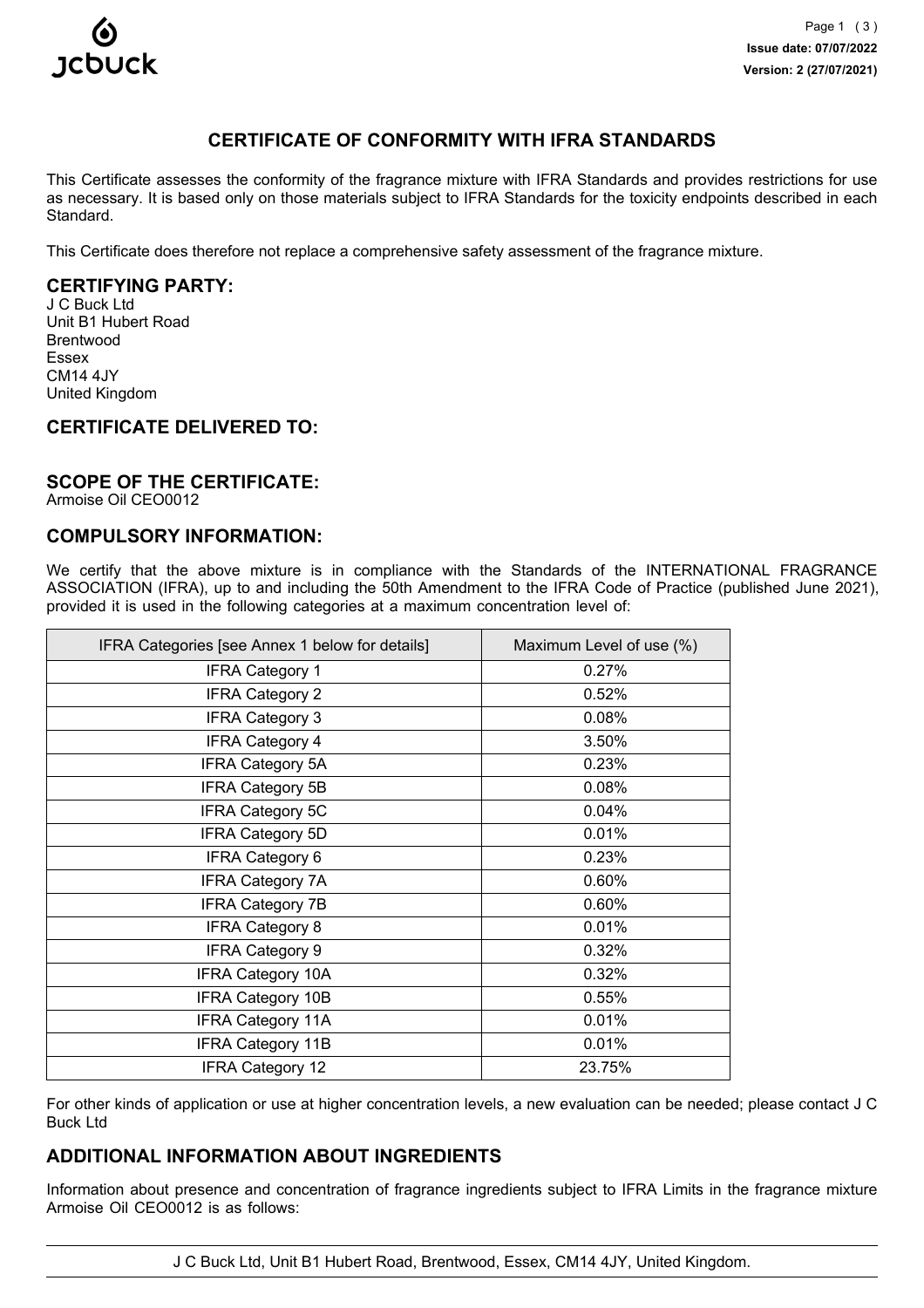

# **CERTIFICATE OF CONFORMITY WITH IFRA STANDARDS**

This Certificate assesses the conformity of the fragrance mixture with IFRA Standards and provides restrictions for use as necessary. It is based only on those materials subject to IFRA Standards for the toxicity endpoints described in each Standard.

This Certificate does therefore not replace a comprehensive safety assessment of the fragrance mixture.

## **CERTIFYING PARTY:**

J C Buck Ltd Unit B1 Hubert Road Brentwood Essex CM14 4JY United Kingdom

## **CERTIFICATE DELIVERED TO:**

### **SCOPE OF THE CERTIFICATE:**

Armoise Oil CEO0012

## **COMPULSORY INFORMATION:**

We certify that the above mixture is in compliance with the Standards of the INTERNATIONAL FRAGRANCE ASSOCIATION (IFRA), up to and including the 50th Amendment to the IFRA Code of Practice (published June 2021), provided it is used in the following categories at a maximum concentration level of:

| IFRA Categories [see Annex 1 below for details] | Maximum Level of use (%) |
|-------------------------------------------------|--------------------------|
| <b>IFRA Category 1</b>                          | 0.27%                    |
| <b>IFRA Category 2</b>                          | 0.52%                    |
| <b>IFRA Category 3</b>                          | 0.08%                    |
| <b>IFRA Category 4</b>                          | 3.50%                    |
| <b>IFRA Category 5A</b>                         | 0.23%                    |
| <b>IFRA Category 5B</b>                         | 0.08%                    |
| <b>IFRA Category 5C</b>                         | 0.04%                    |
| <b>IFRA Category 5D</b>                         | 0.01%                    |
| <b>IFRA Category 6</b>                          | 0.23%                    |
| <b>IFRA Category 7A</b>                         | 0.60%                    |
| <b>IFRA Category 7B</b>                         | 0.60%                    |
| <b>IFRA Category 8</b>                          | 0.01%                    |
| <b>IFRA Category 9</b>                          | 0.32%                    |
| <b>IFRA Category 10A</b>                        | 0.32%                    |
| <b>IFRA Category 10B</b>                        | 0.55%                    |
| <b>IFRA Category 11A</b>                        | 0.01%                    |
| <b>IFRA Category 11B</b>                        | 0.01%                    |
| IFRA Category 12                                | 23.75%                   |

For other kinds of application or use at higher concentration levels, a new evaluation can be needed; please contact J C Buck Ltd

## **ADDITIONAL INFORMATION ABOUT INGREDIENTS**

Information about presence and concentration of fragrance ingredients subject to IFRA Limits in the fragrance mixture Armoise Oil CEO0012 is as follows:

J C Buck Ltd, Unit B1 Hubert Road, Brentwood, Essex, CM14 4JY, United Kingdom.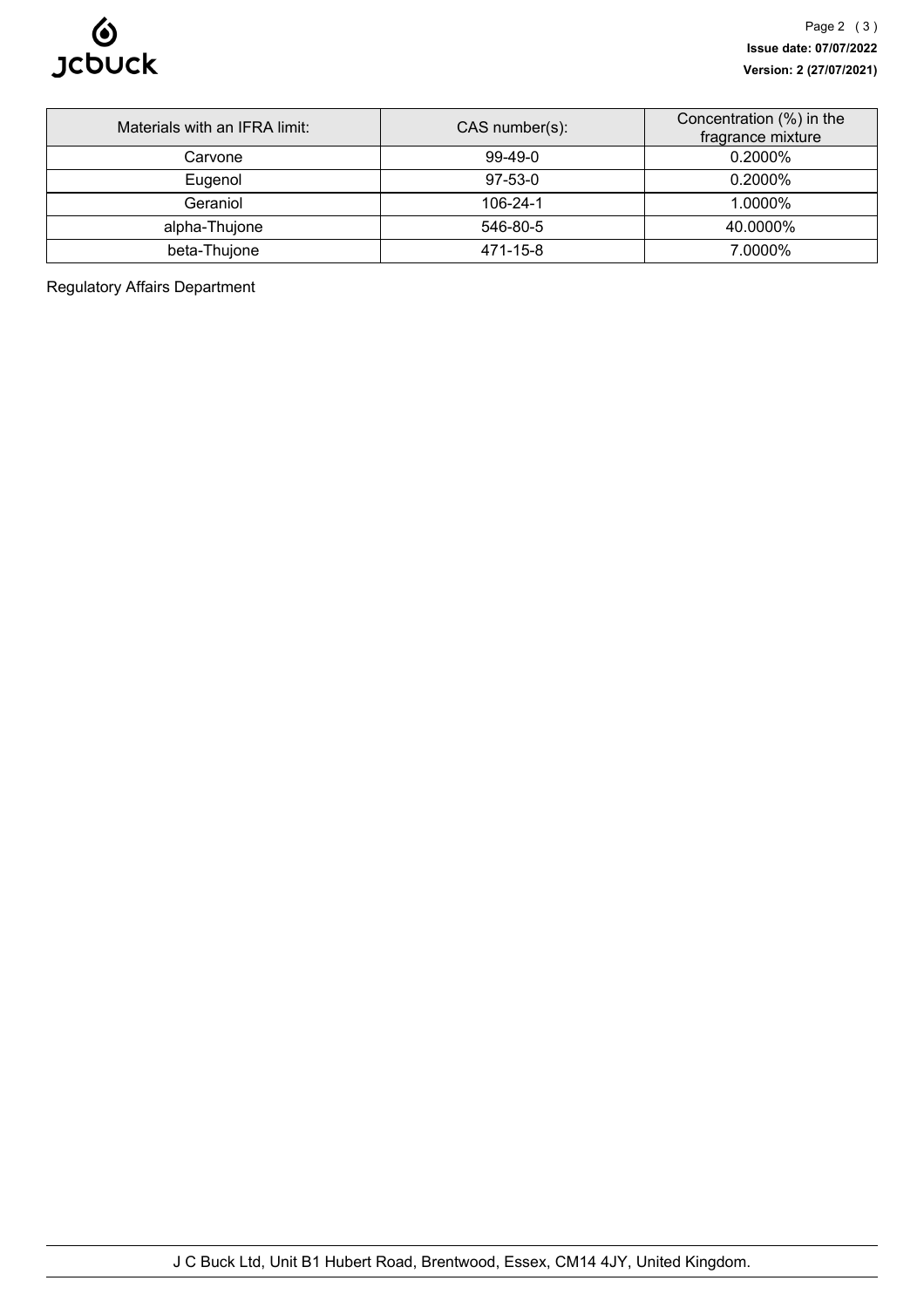

| Materials with an IFRA limit: | $CAS$ number(s): | Concentration (%) in the<br>fragrance mixture |
|-------------------------------|------------------|-----------------------------------------------|
| Carvone                       | $99-49-0$        | $0.2000\%$                                    |
| Eugenol                       | $97-53-0$        | $0.2000\%$                                    |
| Geraniol                      | $106 - 24 - 1$   | 1.0000%                                       |
| alpha-Thujone                 | 546-80-5         | 40.0000%                                      |
| beta-Thujone                  | 471-15-8         | 7.0000%                                       |

Regulatory Affairs Department